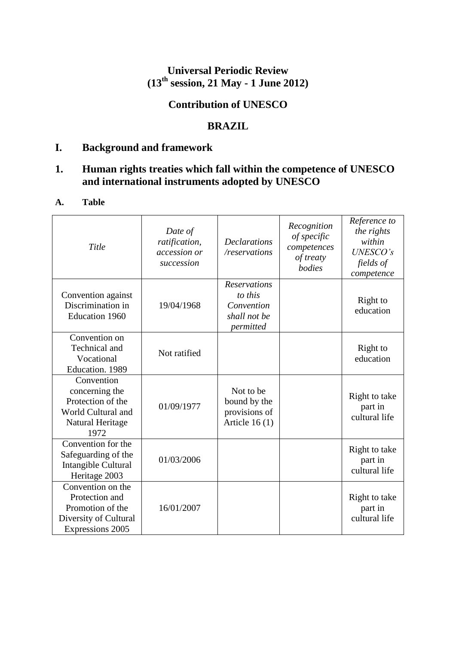## **Universal Periodic Review (13th session, 21 May - 1 June 2012)**

# **Contribution of UNESCO**

## **BRAZIL**

## **I. Background and framework**

# **1. Human rights treaties which fall within the competence of UNESCO and international instruments adopted by UNESCO**

### **A. Table**

| Title                                                                                                | Date of<br>ratification,<br>accession or<br>succession | <b>Declarations</b><br>/reservations                                      | Recognition<br>of specific<br>competences<br>of treaty<br>bodies | Reference to<br>the rights<br>within<br><b>UNESCO's</b><br>fields of<br>competence |
|------------------------------------------------------------------------------------------------------|--------------------------------------------------------|---------------------------------------------------------------------------|------------------------------------------------------------------|------------------------------------------------------------------------------------|
| Convention against<br>Discrimination in<br><b>Education 1960</b>                                     | 19/04/1968                                             | <b>Reservations</b><br>to this<br>Convention<br>shall not be<br>permitted |                                                                  | Right to<br>education                                                              |
| Convention on<br>Technical and<br>Vocational<br>Education. 1989                                      | Not ratified                                           |                                                                           |                                                                  | Right to<br>education                                                              |
| Convention<br>concerning the<br>Protection of the<br>World Cultural and<br>Natural Heritage<br>1972  | 01/09/1977                                             | Not to be<br>bound by the<br>provisions of<br>Article $16(1)$             |                                                                  | Right to take<br>part in<br>cultural life                                          |
| Convention for the<br>Safeguarding of the<br>Intangible Cultural<br>Heritage 2003                    | 01/03/2006                                             |                                                                           |                                                                  | Right to take<br>part in<br>cultural life                                          |
| Convention on the<br>Protection and<br>Promotion of the<br>Diversity of Cultural<br>Expressions 2005 | 16/01/2007                                             |                                                                           |                                                                  | Right to take<br>part in<br>cultural life                                          |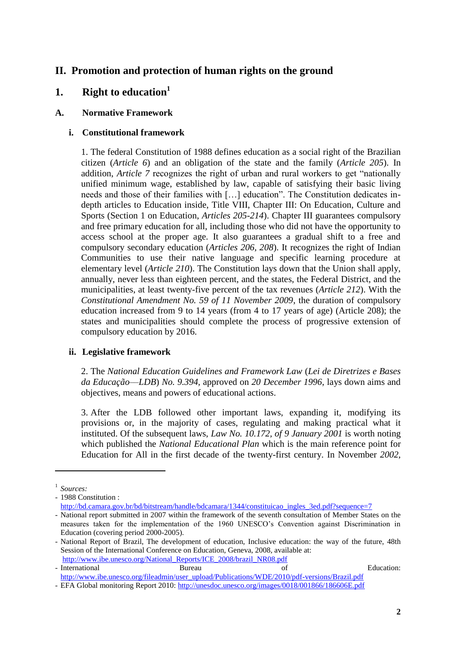## **II. Promotion and protection of human rights on the ground**

## **1. Right to education<sup>1</sup>**

### **A. Normative Framework**

### **i. Constitutional framework**

1. The federal Constitution of 1988 defines education as a social right of the Brazilian citizen (*Article 6*) and an obligation of the state and the family (*Article 205*). In addition, *Article 7* recognizes the right of urban and rural workers to get "nationally unified minimum wage, established by law, capable of satisfying their basic living needs and those of their families with […] education". The Constitution dedicates indepth articles to Education inside, Title VIII, Chapter III: On Education, Culture and Sports (Section 1 on Education, *Articles 205-214*). Chapter III guarantees compulsory and free primary education for all, including those who did not have the opportunity to access school at the proper age. It also guarantees a gradual shift to a free and compulsory secondary education (*Articles 206, 208*). It recognizes the right of Indian Communities to use their native language and specific learning procedure at elementary level (*Article 210*). The Constitution lays down that the Union shall apply, annually, never less than eighteen percent, and the states, the Federal District, and the municipalities, at least twenty-five percent of the tax revenues (*Article 212*). With the *Constitutional Amendment No. 59 of 11 November 2009*, the duration of compulsory education increased from 9 to 14 years (from 4 to 17 years of age) (Article 208); the states and municipalities should complete the process of progressive extension of compulsory education by 2016.

#### **ii. Legislative framework**

2. The *National Education Guidelines and Framework Law* (*Lei de Diretrizes e Bases da Educação––LDB*) *No. 9.394,* approved on *20 December 1996*, lays down aims and objectives, means and powers of educational actions.

3. After the LDB followed other important laws, expanding it, modifying its provisions or, in the majority of cases, regulating and making practical what it instituted. Of the subsequent laws, *Law No. 10.172, of 9 January 2001* is worth noting which published the *National Educational Plan* which is the main reference point for Education for All in the first decade of the twenty-first century. In November *2002,* 

 $\overline{\phantom{a}}$ 

<sup>1</sup> *Sources:* 

<sup>-</sup> 1988 Constitution :

[http://bd.camara.gov.br/bd/bitstream/handle/bdcamara/1344/constituicao\\_ingles\\_3ed.pdf?sequence=7](http://bd.camara.gov.br/bd/bitstream/handle/bdcamara/1344/constituicao_ingles_3ed.pdf?sequence=7)

<sup>-</sup> National report submitted in 2007 within the framework of the seventh consultation of Member States on the measures taken for the implementation of the 1960 UNESCO's Convention against Discrimination in Education (covering period 2000-2005).

<sup>-</sup> National Report of Brazil, The development of education, Inclusive education: the way of the future, 48th Session of the International Conference on Education, Geneva, 2008, available at: [http://www.ibe.unesco.org/National\\_Reports/ICE\\_2008/brazil\\_NR08.pdf](http://www.ibe.unesco.org/National_Reports/ICE_2008/brazil_NR08.pdf)

<sup>-</sup> International Bureau Bureau of Education: [http://www.ibe.unesco.org/fileadmin/user\\_upload/Publications/WDE/2010/pdf-versions/Brazil.pdf](http://www.ibe.unesco.org/fileadmin/user_upload/Publications/WDE/2010/pdf-versions/Brazil.pdf)

<sup>-</sup> EFA Global monitoring Report 2010:<http://unesdoc.unesco.org/images/0018/001866/186606E.pdf>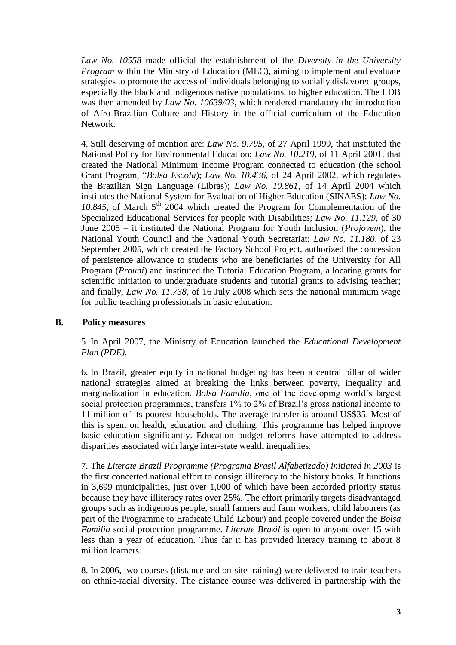*Law No. 10558* made official the establishment of the *Diversity in the University Program* within the Ministry of Education (MEC), aiming to implement and evaluate strategies to promote the access of individuals belonging to socially disfavored groups, especially the black and indigenous native populations, to higher education. The LDB was then amended by *Law No. 10639/03*, which rendered mandatory the introduction of Afro-Brazilian Culture and History in the official curriculum of the Education Network.

4. Still deserving of mention are: *Law No. 9.795*, of 27 April 1999, that instituted the National Policy for Environmental Education; *Law No. 10.219,* of 11 April 2001, that created the National Minimum Income Program connected to education (the school Grant Program, "*Bolsa Escola*); *Law No. 10.436,* of 24 April 2002, which regulates the Brazilian Sign Language (Libras); *Law No. 10.861*, of 14 April 2004 which institutes the National System for Evaluation of Higher Education (SINAES); *Law No.*  10.845, of March  $5<sup>th</sup>$  2004 which created the Program for Complementation of the Specialized Educational Services for people with Disabilities; *Law No. 11.129*, of 30 June 2005 **–** it instituted the National Program for Youth Inclusion (*Projovem*), the National Youth Council and the National Youth Secretariat; *Law No. 11.180*, of 23 September 2005, which created the Factory School Project, authorized the concession of persistence allowance to students who are beneficiaries of the University for All Program (*Prouni*) and instituted the Tutorial Education Program, allocating grants for scientific initiation to undergraduate students and tutorial grants to advising teacher; and finally, *Law No. 11.738*, of 16 July 2008 which sets the national minimum wage for public teaching professionals in basic education.

#### **B. Policy measures**

5. In April 2007, the Ministry of Education launched the *Educational Development Plan (PDE).*

6. In Brazil, greater equity in national budgeting has been a central pillar of wider national strategies aimed at breaking the links between poverty, inequality and marginalization in education. *Bolsa Família*, one of the developing world's largest social protection programmes, transfers 1% to 2% of Brazil's gross national income to 11 million of its poorest households. The average transfer is around US\$35. Most of this is spent on health, education and clothing. This programme has helped improve basic education significantly. Education budget reforms have attempted to address disparities associated with large inter-state wealth inequalities.

7. The *Literate Brazil Programme (Programa Brasil Alfabetizado) initiated in 2003* is the first concerted national effort to consign illiteracy to the history books. It functions in 3,699 municipalities, just over 1,000 of which have been accorded priority status because they have illiteracy rates over 25%. The effort primarily targets disadvantaged groups such as indigenous people, small farmers and farm workers, child labourers (as part of the Programme to Eradicate Child Labour) and people covered under the *Bolsa Familia* social protection programme. *Literate Brazil* is open to anyone over 15 with less than a year of education. Thus far it has provided literacy training to about 8 million learners.

8. In 2006, two courses (distance and on-site training) were delivered to train teachers on ethnic-racial diversity. The distance course was delivered in partnership with the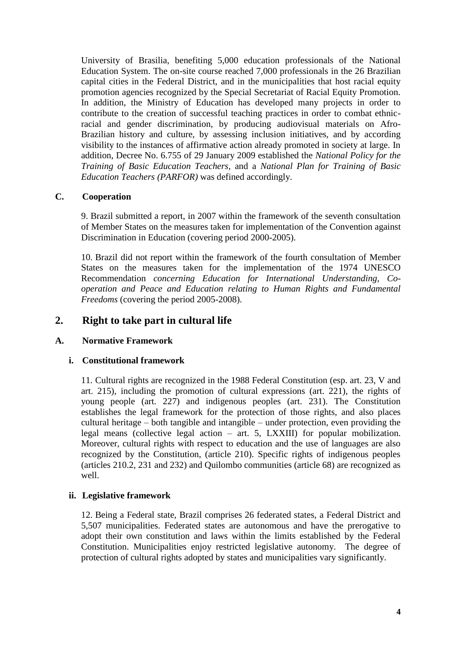University of Brasilia, benefiting 5,000 education professionals of the National Education System. The on-site course reached 7,000 professionals in the 26 Brazilian capital cities in the Federal District, and in the municipalities that host racial equity promotion agencies recognized by the Special Secretariat of Racial Equity Promotion. In addition, the Ministry of Education has developed many projects in order to contribute to the creation of successful teaching practices in order to combat ethnicracial and gender discrimination, by producing audiovisual materials on Afro-Brazilian history and culture, by assessing inclusion initiatives, and by according visibility to the instances of affirmative action already promoted in society at large. In addition, Decree No. 6.755 of 29 January 2009 established the *National Policy for the Training of Basic Education Teachers,* and a *National Plan for Training of Basic Education Teachers (PARFOR)* was defined accordingly.

#### **C. Cooperation**

9. Brazil submitted a report, in 2007 within the framework of the seventh consultation of Member States on the measures taken for implementation of the Convention against Discrimination in Education (covering period 2000-2005).

10. Brazil did not report within the framework of the fourth consultation of Member States on the measures taken for the implementation of the 1974 UNESCO Recommendation *concerning Education for International Understanding, Cooperation and Peace and Education relating to Human Rights and Fundamental Freedoms* (covering the period 2005-2008).

## **2. Right to take part in cultural life**

#### **A. Normative Framework**

#### **i. Constitutional framework**

11. Cultural rights are recognized in the 1988 Federal Constitution (esp. art. 23, V and art. 215), including the promotion of cultural expressions (art. 221), the rights of young people (art. 227) and indigenous peoples (art. 231). The Constitution establishes the legal framework for the protection of those rights, and also places cultural heritage – both tangible and intangible – under protection, even providing the legal means (collective legal action – art. 5, LXXIII) for popular mobilization. Moreover, cultural rights with respect to education and the use of languages are also recognized by the Constitution, (article 210). Specific rights of indigenous peoples (articles 210.2, 231 and 232) and Quilombo communities (article 68) are recognized as well.

#### **ii. Legislative framework**

12. Being a Federal state, Brazil comprises 26 federated states, a Federal District and 5,507 municipalities. Federated states are autonomous and have the prerogative to adopt their own constitution and laws within the limits established by the Federal Constitution. Municipalities enjoy restricted legislative autonomy. The degree of protection of cultural rights adopted by states and municipalities vary significantly.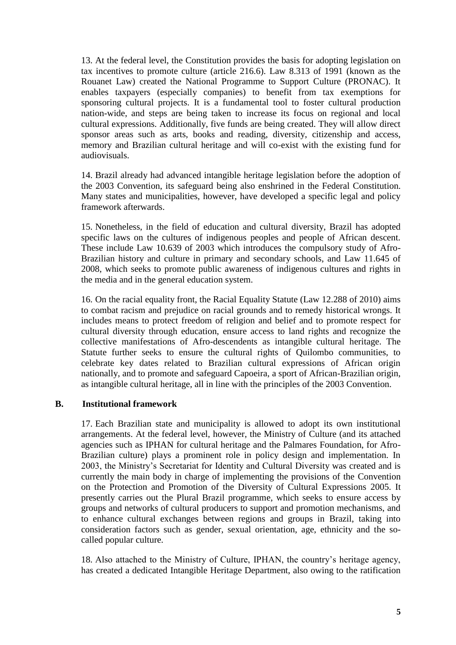13. At the federal level, the Constitution provides the basis for adopting legislation on tax incentives to promote culture (article 216.6). Law 8.313 of 1991 (known as the Rouanet Law) created the National Programme to Support Culture (PRONAC). It enables taxpayers (especially companies) to benefit from tax exemptions for sponsoring cultural projects. It is a fundamental tool to foster cultural production nation-wide, and steps are being taken to increase its focus on regional and local cultural expressions. Additionally, five funds are being created. They will allow direct sponsor areas such as arts, books and reading, diversity, citizenship and access, memory and Brazilian cultural heritage and will co-exist with the existing fund for audiovisuals.

14. Brazil already had advanced intangible heritage legislation before the adoption of the 2003 Convention, its safeguard being also enshrined in the Federal Constitution. Many states and municipalities, however, have developed a specific legal and policy framework afterwards.

15. Nonetheless, in the field of education and cultural diversity, Brazil has adopted specific laws on the cultures of indigenous peoples and people of African descent. These include Law 10.639 of 2003 which introduces the compulsory study of Afro-Brazilian history and culture in primary and secondary schools, and Law 11.645 of 2008, which seeks to promote public awareness of indigenous cultures and rights in the media and in the general education system.

16. On the racial equality front, the Racial Equality Statute (Law 12.288 of 2010) aims to combat racism and prejudice on racial grounds and to remedy historical wrongs. It includes means to protect freedom of religion and belief and to promote respect for cultural diversity through education, ensure access to land rights and recognize the collective manifestations of Afro-descendents as intangible cultural heritage. The Statute further seeks to ensure the cultural rights of Quilombo communities, to celebrate key dates related to Brazilian cultural expressions of African origin nationally, and to promote and safeguard Capoeira, a sport of African-Brazilian origin, as intangible cultural heritage, all in line with the principles of the 2003 Convention.

#### **B. Institutional framework**

17. Each Brazilian state and municipality is allowed to adopt its own institutional arrangements. At the federal level, however, the Ministry of Culture (and its attached agencies such as IPHAN for cultural heritage and the Palmares Foundation, for Afro-Brazilian culture) plays a prominent role in policy design and implementation. In 2003, the Ministry's Secretariat for Identity and Cultural Diversity was created and is currently the main body in charge of implementing the provisions of the Convention on the Protection and Promotion of the Diversity of Cultural Expressions 2005. It presently carries out the Plural Brazil programme, which seeks to ensure access by groups and networks of cultural producers to support and promotion mechanisms, and to enhance cultural exchanges between regions and groups in Brazil, taking into consideration factors such as gender, sexual orientation, age, ethnicity and the socalled popular culture.

18. Also attached to the Ministry of Culture, IPHAN, the country's heritage agency, has created a dedicated Intangible Heritage Department, also owing to the ratification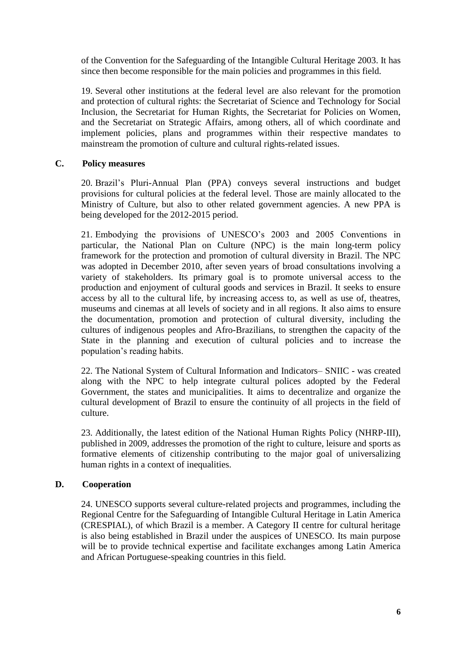of the Convention for the Safeguarding of the Intangible Cultural Heritage 2003. It has since then become responsible for the main policies and programmes in this field.

19. Several other institutions at the federal level are also relevant for the promotion and protection of cultural rights: the Secretariat of Science and Technology for Social Inclusion, the Secretariat for Human Rights, the Secretariat for Policies on Women, and the Secretariat on Strategic Affairs, among others, all of which coordinate and implement policies, plans and programmes within their respective mandates to mainstream the promotion of culture and cultural rights-related issues.

#### **C. Policy measures**

20. Brazil's Pluri-Annual Plan (PPA) conveys several instructions and budget provisions for cultural policies at the federal level. Those are mainly allocated to the Ministry of Culture, but also to other related government agencies. A new PPA is being developed for the 2012-2015 period.

21. Embodying the provisions of UNESCO's 2003 and 2005 Conventions in particular, the National Plan on Culture (NPC) is the main long-term policy framework for the protection and promotion of cultural diversity in Brazil. The NPC was adopted in December 2010, after seven years of broad consultations involving a variety of stakeholders. Its primary goal is to promote universal access to the production and enjoyment of cultural goods and services in Brazil. It seeks to ensure access by all to the cultural life, by increasing access to, as well as use of, theatres, museums and cinemas at all levels of society and in all regions. It also aims to ensure the documentation, promotion and protection of cultural diversity, including the cultures of indigenous peoples and Afro-Brazilians, to strengthen the capacity of the State in the planning and execution of cultural policies and to increase the population's reading habits.

22. The National System of Cultural Information and Indicators– SNIIC - was created along with the NPC to help integrate cultural polices adopted by the Federal Government, the states and municipalities. It aims to decentralize and organize the cultural development of Brazil to ensure the continuity of all projects in the field of culture.

23. Additionally, the latest edition of the National Human Rights Policy (NHRP-III), published in 2009, addresses the promotion of the right to culture, leisure and sports as formative elements of citizenship contributing to the major goal of universalizing human rights in a context of inequalities.

#### **D. Cooperation**

24. UNESCO supports several culture-related projects and programmes, including the Regional Centre for the Safeguarding of Intangible Cultural Heritage in Latin America (CRESPIAL), of which Brazil is a member. A Category II centre for cultural heritage is also being established in Brazil under the auspices of UNESCO. Its main purpose will be to provide technical expertise and facilitate exchanges among Latin America and African Portuguese-speaking countries in this field.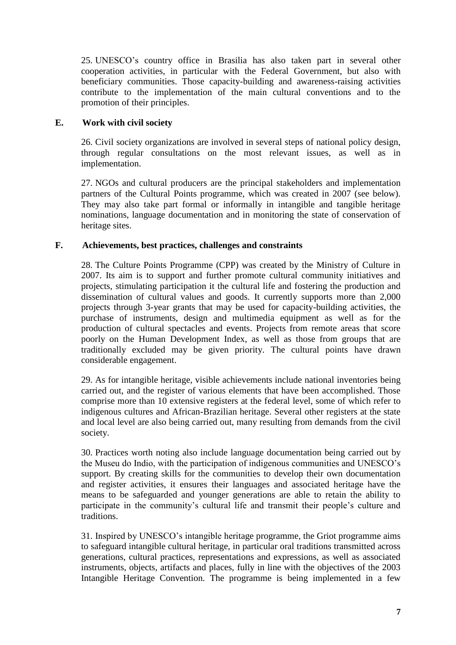25. UNESCO's country office in Brasilia has also taken part in several other cooperation activities, in particular with the Federal Government, but also with beneficiary communities. Those capacity-building and awareness-raising activities contribute to the implementation of the main cultural conventions and to the promotion of their principles.

#### **E. Work with civil society**

26. Civil society organizations are involved in several steps of national policy design, through regular consultations on the most relevant issues, as well as in implementation.

27. NGOs and cultural producers are the principal stakeholders and implementation partners of the Cultural Points programme, which was created in 2007 (see below). They may also take part formal or informally in intangible and tangible heritage nominations, language documentation and in monitoring the state of conservation of heritage sites.

#### **F. Achievements, best practices, challenges and constraints**

28. The Culture Points Programme (CPP) was created by the Ministry of Culture in 2007. Its aim is to support and further promote cultural community initiatives and projects, stimulating participation it the cultural life and fostering the production and dissemination of cultural values and goods. It currently supports more than 2,000 projects through 3-year grants that may be used for capacity-building activities, the purchase of instruments, design and multimedia equipment as well as for the production of cultural spectacles and events. Projects from remote areas that score poorly on the Human Development Index, as well as those from groups that are traditionally excluded may be given priority. The cultural points have drawn considerable engagement.

29. As for intangible heritage, visible achievements include national inventories being carried out, and the register of various elements that have been accomplished. Those comprise more than 10 extensive registers at the federal level, some of which refer to indigenous cultures and African-Brazilian heritage. Several other registers at the state and local level are also being carried out, many resulting from demands from the civil society.

30. Practices worth noting also include language documentation being carried out by the Museu do Indio, with the participation of indigenous communities and UNESCO's support. By creating skills for the communities to develop their own documentation and register activities, it ensures their languages and associated heritage have the means to be safeguarded and younger generations are able to retain the ability to participate in the community's cultural life and transmit their people's culture and traditions.

31. Inspired by UNESCO's intangible heritage programme, the Griot programme aims to safeguard intangible cultural heritage, in particular oral traditions transmitted across generations, cultural practices, representations and expressions, as well as associated instruments, objects, artifacts and places, fully in line with the objectives of the 2003 Intangible Heritage Convention. The programme is being implemented in a few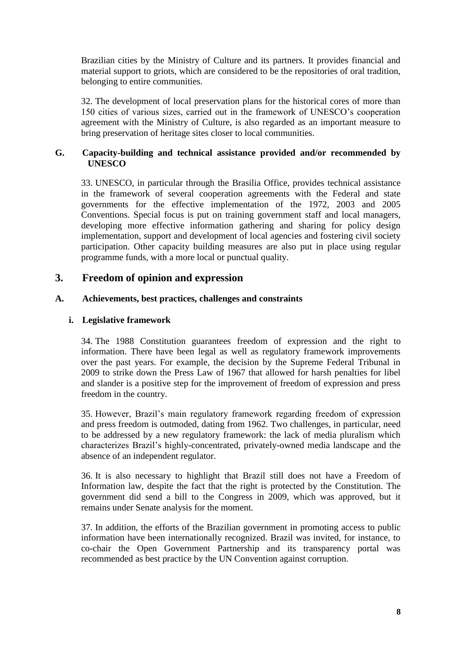Brazilian cities by the Ministry of Culture and its partners. It provides financial and material support to griots, which are considered to be the repositories of oral tradition, belonging to entire communities.

32. The development of local preservation plans for the historical cores of more than 150 cities of various sizes, carried out in the framework of UNESCO's cooperation agreement with the Ministry of Culture, is also regarded as an important measure to bring preservation of heritage sites closer to local communities.

#### **G. Capacity-building and technical assistance provided and/or recommended by UNESCO**

33. UNESCO, in particular through the Brasilia Office, provides technical assistance in the framework of several cooperation agreements with the Federal and state governments for the effective implementation of the 1972, 2003 and 2005 Conventions. Special focus is put on training government staff and local managers, developing more effective information gathering and sharing for policy design implementation, support and development of local agencies and fostering civil society participation. Other capacity building measures are also put in place using regular programme funds, with a more local or punctual quality.

## **3. Freedom of opinion and expression**

#### **A. Achievements, best practices, challenges and constraints**

#### **i. Legislative framework**

34. The 1988 Constitution guarantees freedom of expression and the right to information. There have been legal as well as regulatory framework improvements over the past years. For example, the decision by the Supreme Federal Tribunal in 2009 to strike down the Press Law of 1967 that allowed for harsh penalties for libel and slander is a positive step for the improvement of freedom of expression and press freedom in the country.

35. However, Brazil's main regulatory framework regarding freedom of expression and press freedom is outmoded, dating from 1962. Two challenges, in particular, need to be addressed by a new regulatory framework: the lack of media pluralism which characterizes Brazil's highly-concentrated, privately-owned media landscape and the absence of an independent regulator.

36. It is also necessary to highlight that Brazil still does not have a Freedom of Information law, despite the fact that the right is protected by the Constitution. The government did send a bill to the Congress in 2009, which was approved, but it remains under Senate analysis for the moment.

37. In addition, the efforts of the Brazilian government in promoting access to public information have been internationally recognized. Brazil was invited, for instance, to co-chair the Open Government Partnership and its transparency portal was recommended as best practice by the UN Convention against corruption.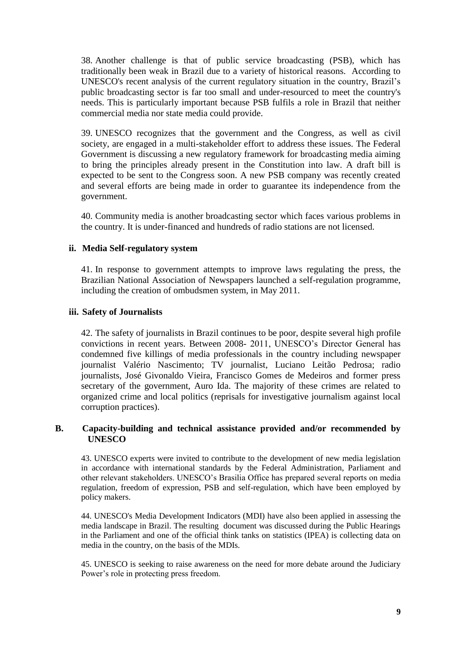38. Another challenge is that of public service broadcasting (PSB), which has traditionally been weak in Brazil due to a variety of historical reasons. According to UNESCO's recent analysis of the current regulatory situation in the country, Brazil's public broadcasting sector is far too small and under-resourced to meet the country's needs. This is particularly important because PSB fulfils a role in Brazil that neither commercial media nor state media could provide.

39. UNESCO recognizes that the government and the Congress, as well as civil society, are engaged in a multi-stakeholder effort to address these issues. The Federal Government is discussing a new regulatory framework for broadcasting media aiming to bring the principles already present in the Constitution into law. A draft bill is expected to be sent to the Congress soon. A new PSB company was recently created and several efforts are being made in order to guarantee its independence from the government.

40. Community media is another broadcasting sector which faces various problems in the country. It is under-financed and hundreds of radio stations are not licensed.

#### **ii. Media Self-regulatory system**

41. In response to government attempts to improve laws regulating the press, the Brazilian National Association of Newspapers launched a self-regulation programme, including the creation of ombudsmen system, in May 2011.

#### **iii. Safety of Journalists**

42. The safety of journalists in Brazil continues to be poor, despite several high profile convictions in recent years. Between 2008- 2011, UNESCO's Director General has condemned five killings of media professionals in the country including newspaper journalist Valério Nascimento; TV journalist, Luciano Leitão Pedrosa; radio journalists, José Givonaldo Vieira, Francisco Gomes de Medeiros and former press secretary of the government, Auro Ida. The majority of these crimes are related to organized crime and local politics (reprisals for investigative journalism against local corruption practices).

#### **B. Capacity-building and technical assistance provided and/or recommended by UNESCO**

43. UNESCO experts were invited to contribute to the development of new media legislation in accordance with international standards by the Federal Administration, Parliament and other relevant stakeholders. UNESCO's Brasilia Office has prepared several reports on media regulation, freedom of expression, PSB and self-regulation, which have been employed by policy makers.

44. UNESCO's Media Development Indicators (MDI) have also been applied in assessing the media landscape in Brazil. The resulting document was discussed during the Public Hearings in the Parliament and one of the official think tanks on statistics (IPEA) is collecting data on media in the country, on the basis of the MDIs.

45. UNESCO is seeking to raise awareness on the need for more debate around the Judiciary Power's role in protecting press freedom.